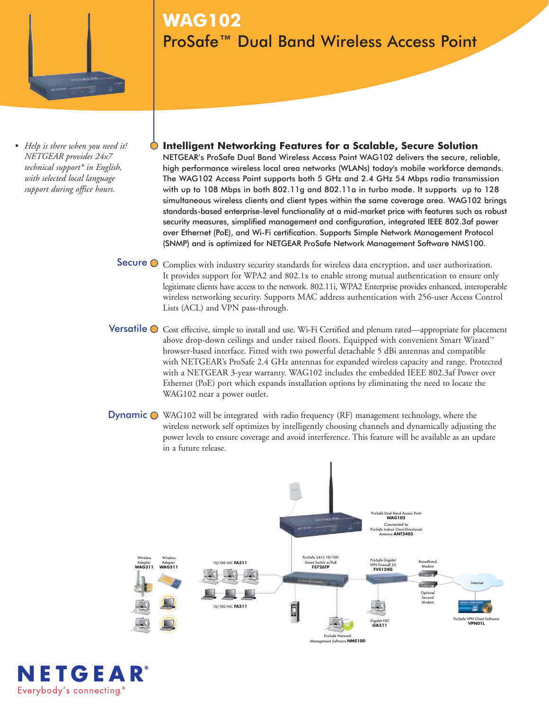

*• Help is there when you need it! NETGEAR provides 24x7 technical support\* in English, with selected local language support during office hours.*

**WAG102** ProSafe™ Dual Band Wireless Access Point

- **Intelligent Networking Features for a Scalable, Secure Solution**  NETGEAR's ProSafe Dual Band Wireless Access Point WAG102 delivers the secure, reliable, high performance wireless local area networks (WLANs) today's mobile workforce demands. The WAG102 Access Point supports both 5 GHz and 2.4 GHz 54 Mbps radio transmission with up to 108 Mbps in both 802.11g and 802.11a in turbo mode. It supports up to 128 simultaneous wireless clients and client types within the same coverage area. WAG102 brings standards-based enterprise-level functionality at a mid-market price with features such as robust security measures, simplified management and configuration, integrated IEEE 802.3af power over Ethernet (PoE), and Wi-Fi certification. Supports Simple Network Management Protocol (SNMP) and is optimized for NETGEAR ProSafe Network Management Software NMS100.
- Secure  $\bullet$  Complies with industry security standards for wireless data encryption, and user authorization. It provides support for WPA2 and 802.1x to enable strong mutual authentication to ensure only legitimate clients have access to the network. 802.11i, WPA2 Enterprise provides enhanced, interoperable wireless networking security. Supports MAC address authentication with 256-user Access Control Lists (ACL) and VPN pass-through.
- Versatile  $\bigcirc$  Cost effective, simple to install and use. Wi-Fi Certified and plenum rated—appropriate for placement above drop-down ceilings and under raised floors. Equipped with convenient Smart Wizard™ browser-based interface. Fitted with two powerful detachable 5 dBi antennas and compatible with NETGEAR's ProSafe 2.4 GHz antennas for expanded wireless capacity and range. Protected with a NETGEAR 3-year warranty. WAG102 includes the embedded IEEE 802.3af Power over Ethernet (PoE) port which expands installation options by eliminating the need to locate the WAG102 near a power outlet.
- Dynamic  $\bullet$  WAG102 will be integrated with radio frequency (RF) management technology, where the wireless network self optimizes by intelligently choosing channels and dynamically adjusting the power levels to ensure coverage and avoid interference. This feature will be available as an update in a future release.